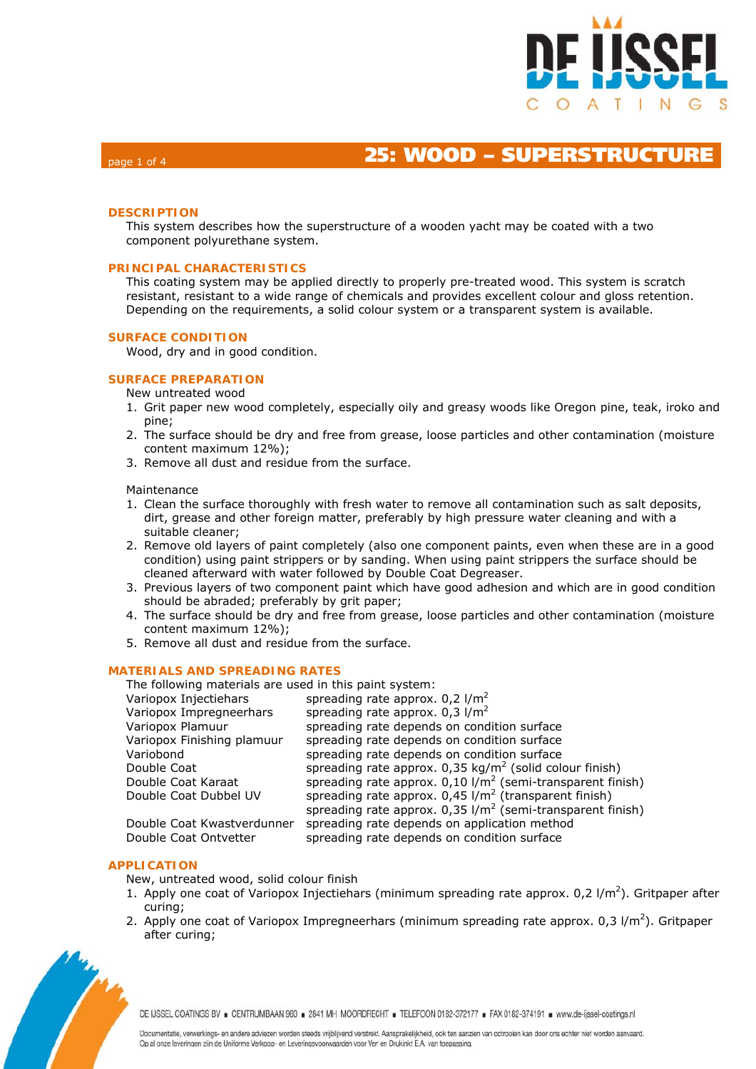

# **25: WOOD – SUPERSTRUCTUR**

## **DESCRIPTION**

This system describes how the superstructure of a wooden yacht may be coated with a two component polyurethane system.

### **PRINCIPAL CHARACTERISTICS**

This coating system may be applied directly to properly pre-treated wood. This system is scratch resistant, resistant to a wide range of chemicals and provides excellent colour and gloss retention. Depending on the requirements, a solid colour system or a transparent system is available.

#### **SURFACE CONDITION**

Wood, dry and in good condition.

#### **SURFACE PREPARATION**

- New untreated wood
- 1. Grit paper new wood completely, especially oily and greasy woods like Oregon pine, teak, iroko and pine;
- 2. The surface should be dry and free from grease, loose particles and other contamination (moisture content maximum 12%);
- 3. Remove all dust and residue from the surface.

#### Maintenance

- 1. Clean the surface thoroughly with fresh water to remove all contamination such as salt deposits, dirt, grease and other foreign matter, preferably by high pressure water cleaning and with a suitable cleaner;
- 2. Remove old layers of paint completely (also one component paints, even when these are in a good condition) using paint strippers or by sanding. When using paint strippers the surface should be cleaned afterward with water followed by Double Coat Degreaser.
- 3. Previous layers of two component paint which have good adhesion and which are in good condition should be abraded; preferably by grit paper;
- 4. The surface should be dry and free from grease, loose particles and other contamination (moisture content maximum 12%);
- 5. Remove all dust and residue from the surface.

## **MATERIALS AND SPREADING RATES**

| The following materials are used in this paint system: |                                                                          |  |  |  |  |
|--------------------------------------------------------|--------------------------------------------------------------------------|--|--|--|--|
| Variopox Injectiehars                                  | spreading rate approx. $0.2$ l/m <sup>2</sup>                            |  |  |  |  |
| Variopox Impregneerhars                                | spreading rate approx. $0.3$ l/m <sup>2</sup>                            |  |  |  |  |
| Variopox Plamuur                                       | spreading rate depends on condition surface                              |  |  |  |  |
| Variopox Finishing plamuur                             | spreading rate depends on condition surface                              |  |  |  |  |
| Variobond                                              | spreading rate depends on condition surface                              |  |  |  |  |
| Double Coat                                            | spreading rate approx. $0.35 \text{ kg/m}^2$ (solid colour finish)       |  |  |  |  |
| Double Coat Karaat                                     | spreading rate approx. $0,10$ I/m <sup>2</sup> (semi-transparent finish) |  |  |  |  |
| Double Coat Dubbel UV                                  | spreading rate approx. $0.45$ I/m <sup>2</sup> (transparent finish)      |  |  |  |  |
|                                                        | spreading rate approx. $0.35$ I/m <sup>2</sup> (semi-transparent finish) |  |  |  |  |
| Double Coat Kwastverdunner                             | spreading rate depends on application method                             |  |  |  |  |
| Double Coat Ontvetter                                  | spreading rate depends on condition surface                              |  |  |  |  |

### **APPLICATION**

New, untreated wood, solid colour finish

- 1. Apply one coat of Variopox Injectiehars (minimum spreading rate approx.  $0.2 \frac{1}{m^2}$ ). Gritpaper after curing;
- 2. Apply one coat of Variopox Impregneerhars (minimum spreading rate approx. 0,3  $1/m^2$ ). Gritpaper after curing;



DE IJSSEL COATINGS BV E CENTRUMBAAN 960 E 2841 MH MOORDRECHT E TELEFOON 0182-372177 E FAX 0182-374191 E www.de-ijssel-coatings.nl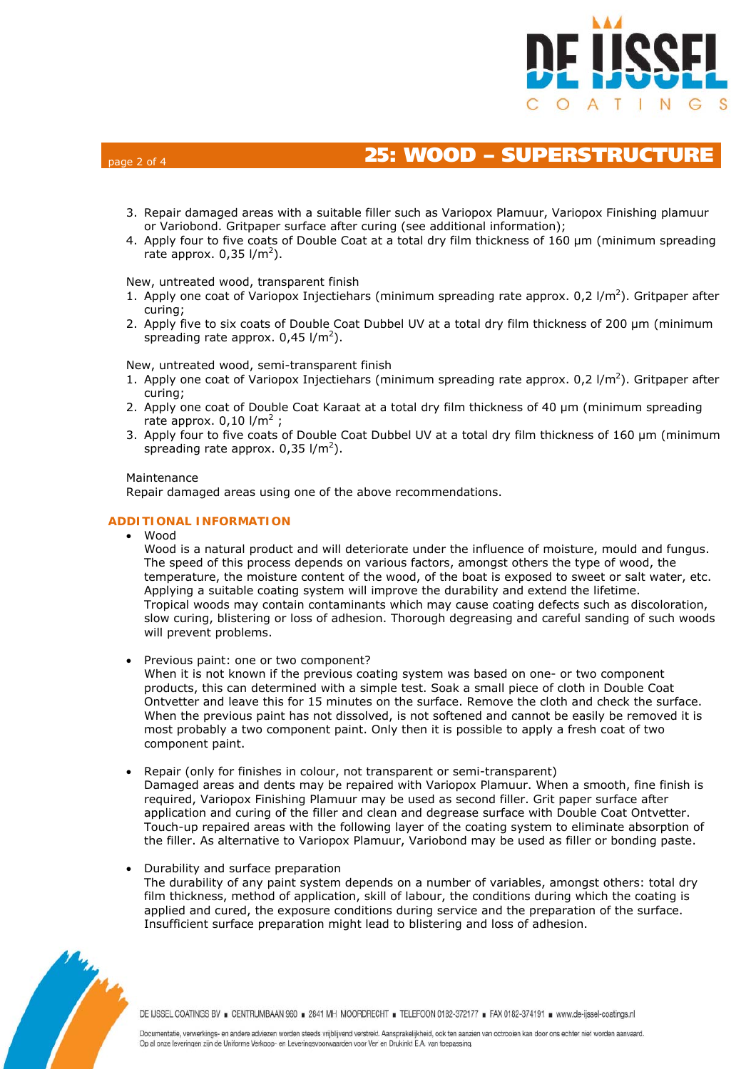

# **25: WOOD – SUPERSTRUCTURE**

- 3. Repair damaged areas with a suitable filler such as Variopox Plamuur, Variopox Finishing plamuur or Variobond. Gritpaper surface after curing (see additional information);
- 4. Apply four to five coats of Double Coat at a total dry film thickness of 160 μm (minimum spreading rate approx.  $0,35$  l/m<sup>2</sup>).

#### New, untreated wood, transparent finish

- 1. Apply one coat of Variopox Injectiehars (minimum spreading rate approx.  $0.2 \frac{1}{m^2}$ ). Gritpaper after curing;
- 2. Apply five to six coats of Double Coat Dubbel UV at a total dry film thickness of 200 μm (minimum spreading rate approx.  $0,45$  l/m<sup>2</sup>).

New, untreated wood, semi-transparent finish

- 1. Apply one coat of Variopox Injectiehars (minimum spreading rate approx.  $0.2 \frac{1}{m^2}$ ). Gritpaper after curing;
- 2. Apply one coat of Double Coat Karaat at a total dry film thickness of 40 μm (minimum spreading rate approx.  $0,10$  l/m<sup>2</sup>;
- 3. Apply four to five coats of Double Coat Dubbel UV at a total dry film thickness of 160 μm (minimum spreading rate approx.  $0.35$  l/m<sup>2</sup>).

#### Maintenance

Repair damaged areas using one of the above recommendations.

## **ADDITIONAL INFORMATION**

• Wood

Wood is a natural product and will deteriorate under the influence of moisture, mould and fungus. The speed of this process depends on various factors, amongst others the type of wood, the temperature, the moisture content of the wood, of the boat is exposed to sweet or salt water, etc. Applying a suitable coating system will improve the durability and extend the lifetime. Tropical woods may contain contaminants which may cause coating defects such as discoloration, slow curing, blistering or loss of adhesion. Thorough degreasing and careful sanding of such woods will prevent problems.

• Previous paint: one or two component?

When it is not known if the previous coating system was based on one- or two component products, this can determined with a simple test. Soak a small piece of cloth in Double Coat Ontvetter and leave this for 15 minutes on the surface. Remove the cloth and check the surface. When the previous paint has not dissolved, is not softened and cannot be easily be removed it is most probably a two component paint. Only then it is possible to apply a fresh coat of two component paint.

- Repair (only for finishes in colour, not transparent or semi-transparent)
- Damaged areas and dents may be repaired with Variopox Plamuur. When a smooth, fine finish is required, Variopox Finishing Plamuur may be used as second filler. Grit paper surface after application and curing of the filler and clean and degrease surface with Double Coat Ontvetter. Touch-up repaired areas with the following layer of the coating system to eliminate absorption of the filler. As alternative to Variopox Plamuur, Variobond may be used as filler or bonding paste.

### • Durability and surface preparation

The durability of any paint system depends on a number of variables, amongst others: total dry film thickness, method of application, skill of labour, the conditions during which the coating is applied and cured, the exposure conditions during service and the preparation of the surface. Insufficient surface preparation might lead to blistering and loss of adhesion.



DE IJSSEL COATINGS BV = CENTRUMBAAN 960 = 2841 MH MOORDRECHT = TELEFOON 0182-372177 = FAX 0182-374191 = www.de-ijssel-coatings.nl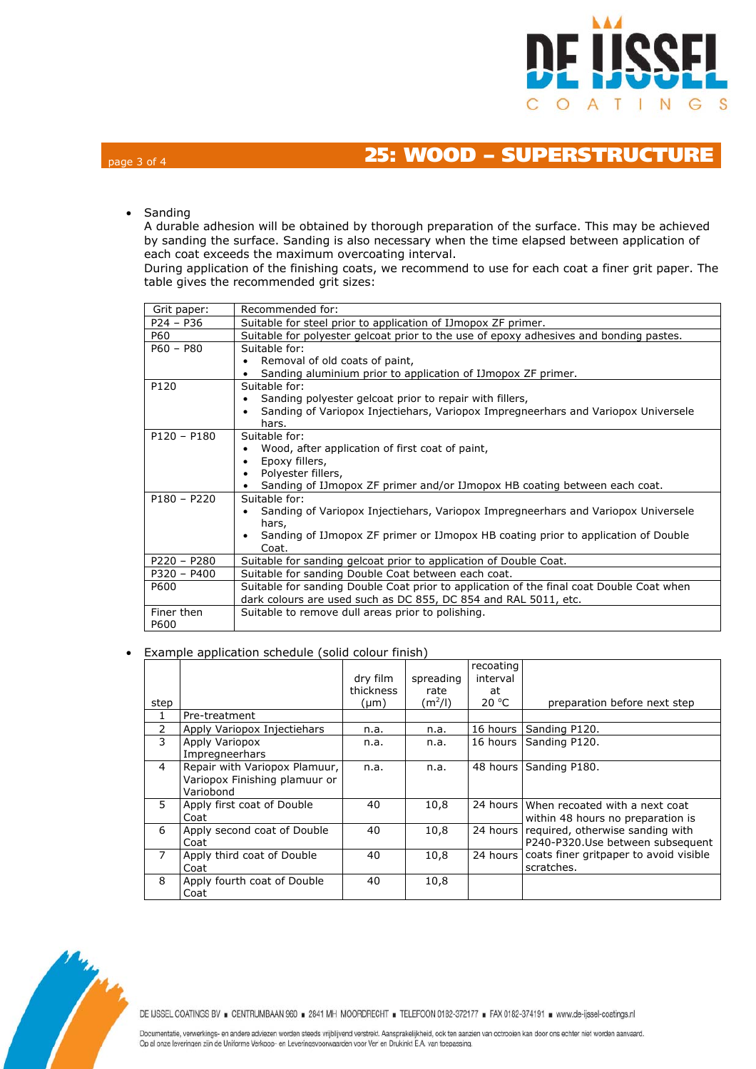

# page 3 of 4 **25: WOOD – SUPERSTRUCTURE**

• Sanding

A durable adhesion will be obtained by thorough preparation of the surface. This may be achieved by sanding the surface. Sanding is also necessary when the time elapsed between application of each coat exceeds the maximum overcoating interval.

During application of the finishing coats, we recommend to use for each coat a finer grit paper. The table gives the recommended grit sizes:

| Grit paper:   | Recommended for:                                                                                |  |  |  |  |  |  |
|---------------|-------------------------------------------------------------------------------------------------|--|--|--|--|--|--|
| $P24 - P36$   | Suitable for steel prior to application of IJmopox ZF primer.                                   |  |  |  |  |  |  |
| P60           | Suitable for polyester gelcoat prior to the use of epoxy adhesives and bonding pastes.          |  |  |  |  |  |  |
| $P60 - P80$   | Suitable for:                                                                                   |  |  |  |  |  |  |
|               | Removal of old coats of paint,                                                                  |  |  |  |  |  |  |
|               | Sanding aluminium prior to application of IJmopox ZF primer.                                    |  |  |  |  |  |  |
| P120          | Suitable for:                                                                                   |  |  |  |  |  |  |
|               | Sanding polyester gelcoat prior to repair with fillers,                                         |  |  |  |  |  |  |
|               | Sanding of Variopox Injectiehars, Variopox Impregneerhars and Variopox Universele               |  |  |  |  |  |  |
|               | hars.                                                                                           |  |  |  |  |  |  |
| $P120 - P180$ | Suitable for:                                                                                   |  |  |  |  |  |  |
|               | Wood, after application of first coat of paint,                                                 |  |  |  |  |  |  |
|               | Epoxy fillers,                                                                                  |  |  |  |  |  |  |
|               | Polyester fillers,<br>Sanding of IJmopox ZF primer and/or IJmopox HB coating between each coat. |  |  |  |  |  |  |
| $P180 - P220$ | Suitable for:                                                                                   |  |  |  |  |  |  |
|               | Sanding of Variopox Injectiehars, Variopox Impregneerhars and Variopox Universele               |  |  |  |  |  |  |
|               | hars,                                                                                           |  |  |  |  |  |  |
|               | Sanding of IJmopox ZF primer or IJmopox HB coating prior to application of Double               |  |  |  |  |  |  |
|               | Coat.                                                                                           |  |  |  |  |  |  |
| $P220 - P280$ | Suitable for sanding gelcoat prior to application of Double Coat.                               |  |  |  |  |  |  |
| $P320 - P400$ | Suitable for sanding Double Coat between each coat.                                             |  |  |  |  |  |  |
| P600          | Suitable for sanding Double Coat prior to application of the final coat Double Coat when        |  |  |  |  |  |  |
|               | dark colours are used such as DC 855, DC 854 and RAL 5011, etc.                                 |  |  |  |  |  |  |
| Finer then    | Suitable to remove dull areas prior to polishing.                                               |  |  |  |  |  |  |
| P600          |                                                                                                 |  |  |  |  |  |  |

## • Example application schedule (solid colour finish)

|                |                                                                             | dry film  | spreading         | recoating<br>interval |                                                                              |
|----------------|-----------------------------------------------------------------------------|-----------|-------------------|-----------------------|------------------------------------------------------------------------------|
|                |                                                                             | thickness | rate<br>$(m^2/l)$ | at<br>20 °C           | preparation before next step                                                 |
| step           |                                                                             | (µm)      |                   |                       |                                                                              |
| 1              | Pre-treatment                                                               |           |                   |                       |                                                                              |
| 2              | Apply Variopox Injectiehars                                                 | n.a.      | n.a.              | 16 hours              | Sanding P120.                                                                |
| 3              | Apply Variopox<br>Impregneerhars                                            | n.a.      | n.a.              | 16 hours              | Sanding P120.                                                                |
| $\overline{4}$ | Repair with Variopox Plamuur,<br>Variopox Finishing plamuur or<br>Variobond | n.a.      | n.a.              |                       | 48 hours Sanding P180.                                                       |
| 5.             | Apply first coat of Double<br>Coat                                          | 40        | 10,8              |                       | 24 hours When recoated with a next coat<br>within 48 hours no preparation is |
| 6              | Apply second coat of Double<br>Coat                                         | 40        | 10,8              | 24 hours              | required, otherwise sanding with<br>P240-P320.Use between subsequent         |
| 7              | Apply third coat of Double<br>Coat                                          | 40        | 10,8              | 24 hours              | coats finer gritpaper to avoid visible<br>scratches.                         |
| 8              | Apply fourth coat of Double<br>Coat                                         | 40        | 10,8              |                       |                                                                              |